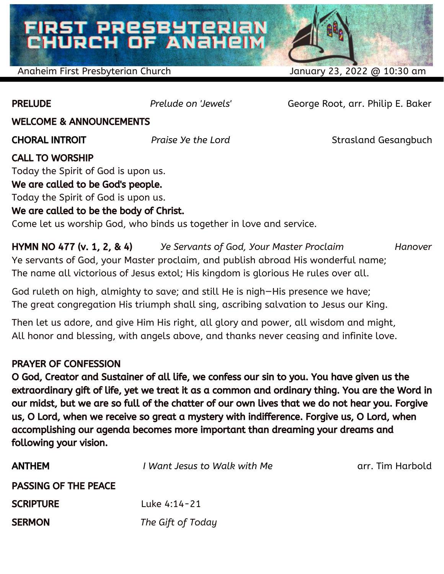# FIRST PRESBYTERIAN<br>CHURCH OF ANAHEIM

Anaheim First Presbyterian Church January 23, 2022 @ 10:30 am

PRELUDE *Prelude on 'Jewels'* George Root, arr. Philip E. Baker

WELCOME & ANNOUNCEMENTS

CHORAL INTROIT *Praise Ye the Lord* Strasland Gesangbuch

### CALL TO WORSHIP

Today the Spirit of God is upon us.

### We are called to be God's people.

Today the Spirit of God is upon us.

### We are called to be the body of Christ.

Come let us worship God, who binds us together in love and service.

HYMN NO 477 (v. 1, 2, & 4) *Ye Servants of God, Your Master Proclaim Hanover* Ye servants of God, your Master proclaim, and publish abroad His wonderful name; The name all victorious of Jesus extol; His kingdom is glorious He rules over all.

God ruleth on high, almighty to save; and still He is nigh—His presence we have; The great congregation His triumph shall sing, ascribing salvation to Jesus our King.

Then let us adore, and give Him His right, all glory and power, all wisdom and might, All honor and blessing, with angels above, and thanks never ceasing and infinite love.

### PRAYER OF CONFESSION

O God, Creator and Sustainer of all life, we confess our sin to you. You have given us the extraordinary gift of life, yet we treat it as a common and ordinary thing. You are the Word in our midst, but we are so full of the chatter of our own lives that we do not hear you. Forgive us, O Lord, when we receive so great a mystery with indifference. Forgive us, O Lord, when accomplishing our agenda becomes more important than dreaming your dreams and following your vision.

| <b>ANTHEM</b>               | I Want Jesus to Walk with Me | arr. Tim Harbold |
|-----------------------------|------------------------------|------------------|
| <b>PASSING OF THE PEACE</b> |                              |                  |
| <b>SCRIPTURE</b>            | Luke 4:14-21                 |                  |
| <b>SERMON</b>               | The Gift of Today            |                  |